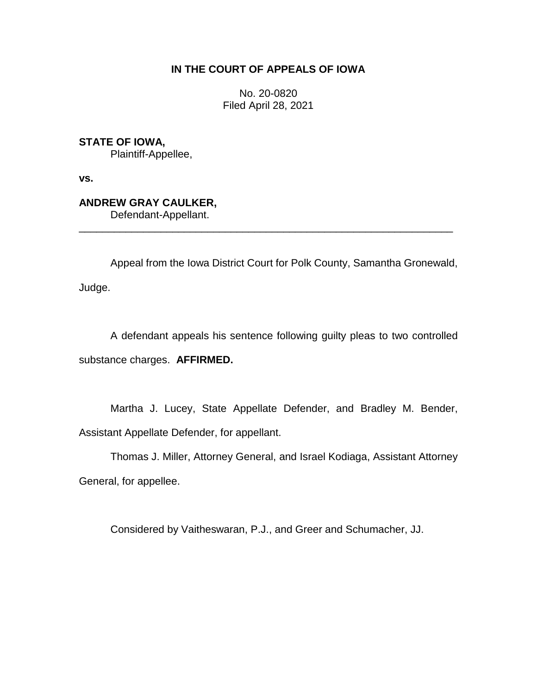# **IN THE COURT OF APPEALS OF IOWA**

No. 20-0820 Filed April 28, 2021

**STATE OF IOWA,**

Plaintiff-Appellee,

**vs.**

**ANDREW GRAY CAULKER,**

Defendant-Appellant.

Appeal from the Iowa District Court for Polk County, Samantha Gronewald, Judge.

\_\_\_\_\_\_\_\_\_\_\_\_\_\_\_\_\_\_\_\_\_\_\_\_\_\_\_\_\_\_\_\_\_\_\_\_\_\_\_\_\_\_\_\_\_\_\_\_\_\_\_\_\_\_\_\_\_\_\_\_\_\_\_\_

A defendant appeals his sentence following guilty pleas to two controlled substance charges. **AFFIRMED.**

Martha J. Lucey, State Appellate Defender, and Bradley M. Bender, Assistant Appellate Defender, for appellant.

Thomas J. Miller, Attorney General, and Israel Kodiaga, Assistant Attorney General, for appellee.

Considered by Vaitheswaran, P.J., and Greer and Schumacher, JJ.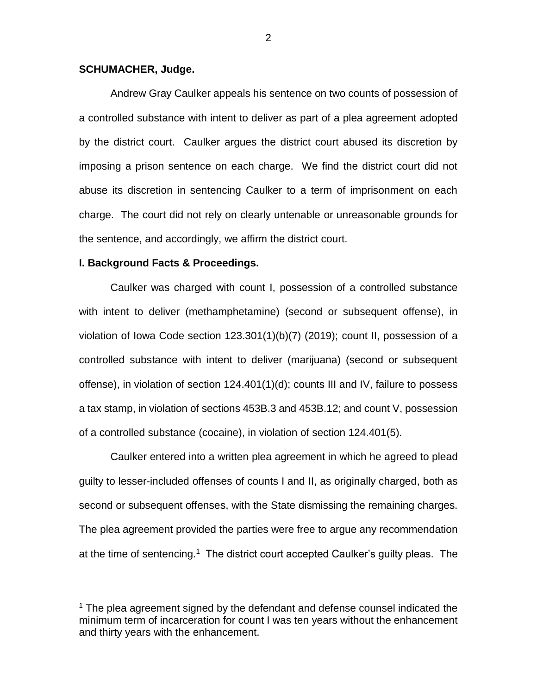## **SCHUMACHER, Judge.**

Andrew Gray Caulker appeals his sentence on two counts of possession of a controlled substance with intent to deliver as part of a plea agreement adopted by the district court. Caulker argues the district court abused its discretion by imposing a prison sentence on each charge. We find the district court did not abuse its discretion in sentencing Caulker to a term of imprisonment on each charge. The court did not rely on clearly untenable or unreasonable grounds for the sentence, and accordingly, we affirm the district court.

## **I. Background Facts & Proceedings.**

 $\overline{a}$ 

Caulker was charged with count I, possession of a controlled substance with intent to deliver (methamphetamine) (second or subsequent offense), in violation of Iowa Code section 123.301(1)(b)(7) (2019); count II, possession of a controlled substance with intent to deliver (marijuana) (second or subsequent offense), in violation of section 124.401(1)(d); counts III and IV, failure to possess a tax stamp, in violation of sections 453B.3 and 453B.12; and count V, possession of a controlled substance (cocaine), in violation of section 124.401(5).

Caulker entered into a written plea agreement in which he agreed to plead guilty to lesser-included offenses of counts I and II, as originally charged, both as second or subsequent offenses, with the State dismissing the remaining charges. The plea agreement provided the parties were free to argue any recommendation at the time of sentencing.<sup>1</sup> The district court accepted Caulker's guilty pleas. The

 $1$  The plea agreement signed by the defendant and defense counsel indicated the minimum term of incarceration for count I was ten years without the enhancement and thirty years with the enhancement.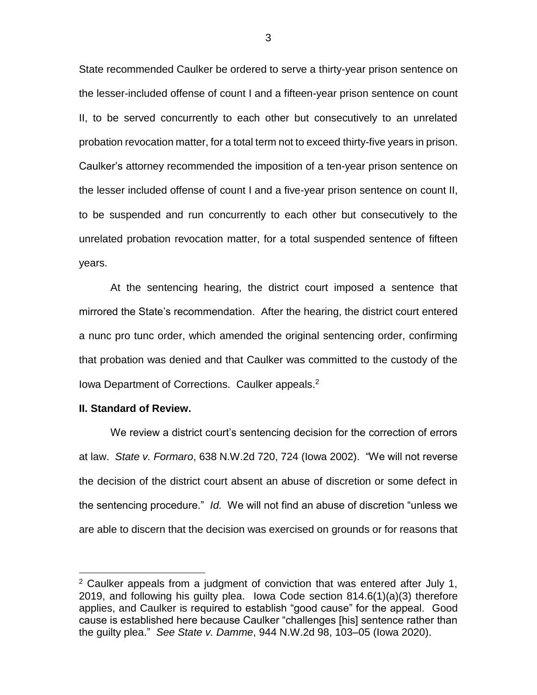State recommended Caulker be ordered to serve a thirty-year prison sentence on the lesser-included offense of count I and a fifteen-year prison sentence on count II, to be served concurrently to each other but consecutively to an unrelated probation revocation matter, for a total term not to exceed thirty-five years in prison. Caulker's attorney recommended the imposition of a ten-year prison sentence on the lesser included offense of count I and a five-year prison sentence on count II, to be suspended and run concurrently to each other but consecutively to the unrelated probation revocation matter, for a total suspended sentence of fifteen years.

At the sentencing hearing, the district court imposed a sentence that mirrored the State's recommendation. After the hearing, the district court entered a nunc pro tunc order, which amended the original sentencing order, confirming that probation was denied and that Caulker was committed to the custody of the Iowa Department of Corrections. Caulker appeals.<sup>2</sup>

#### **II. Standard of Review.**

 $\overline{a}$ 

We review a district court's sentencing decision for the correction of errors at law. *State v. Formaro*, 638 N.W.2d 720, 724 (Iowa 2002). "We will not reverse the decision of the district court absent an abuse of discretion or some defect in the sentencing procedure." *Id.* We will not find an abuse of discretion "unless we are able to discern that the decision was exercised on grounds or for reasons that

<sup>2</sup> Caulker appeals from a judgment of conviction that was entered after July 1, 2019, and following his guilty plea. Iowa Code section 814.6(1)(a)(3) therefore applies, and Caulker is required to establish "good cause" for the appeal. Good cause is established here because Caulker "challenges [his] sentence rather than the guilty plea." *See State v. Damme*, 944 N.W.2d 98, 103–05 (Iowa 2020).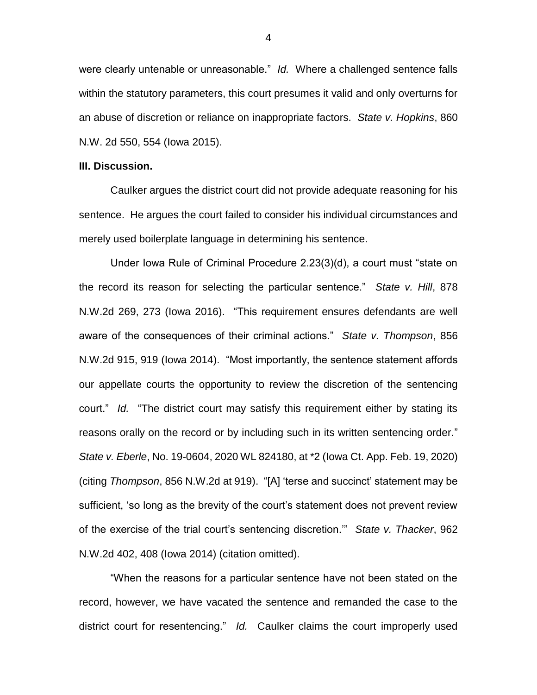were clearly untenable or unreasonable." *Id.* Where a challenged sentence falls within the statutory parameters, this court presumes it valid and only overturns for an abuse of discretion or reliance on inappropriate factors. *State v. Hopkins*, 860 N.W. 2d 550, 554 (Iowa 2015).

#### **III. Discussion.**

Caulker argues the district court did not provide adequate reasoning for his sentence. He argues the court failed to consider his individual circumstances and merely used boilerplate language in determining his sentence.

Under Iowa Rule of Criminal Procedure 2.23(3)(d), a court must "state on the record its reason for selecting the particular sentence." *State v. Hill*, 878 N.W.2d 269, 273 (Iowa 2016). "This requirement ensures defendants are well aware of the consequences of their criminal actions." *State v. Thompson*, 856 N.W.2d 915, 919 (Iowa 2014). "Most importantly, the sentence statement affords our appellate courts the opportunity to review the discretion of the sentencing court." *Id.* "The district court may satisfy this requirement either by stating its reasons orally on the record or by including such in its written sentencing order." *State v. Eberle*, No. 19-0604, 2020 WL 824180, at \*2 (Iowa Ct. App. Feb. 19, 2020) (citing *Thompson*, 856 N.W.2d at 919). "[A] 'terse and succinct' statement may be sufficient, 'so long as the brevity of the court's statement does not prevent review of the exercise of the trial court's sentencing discretion.'" *State v. Thacker*, 962 N.W.2d 402, 408 (Iowa 2014) (citation omitted).

"When the reasons for a particular sentence have not been stated on the record, however, we have vacated the sentence and remanded the case to the district court for resentencing." *Id.* Caulker claims the court improperly used

4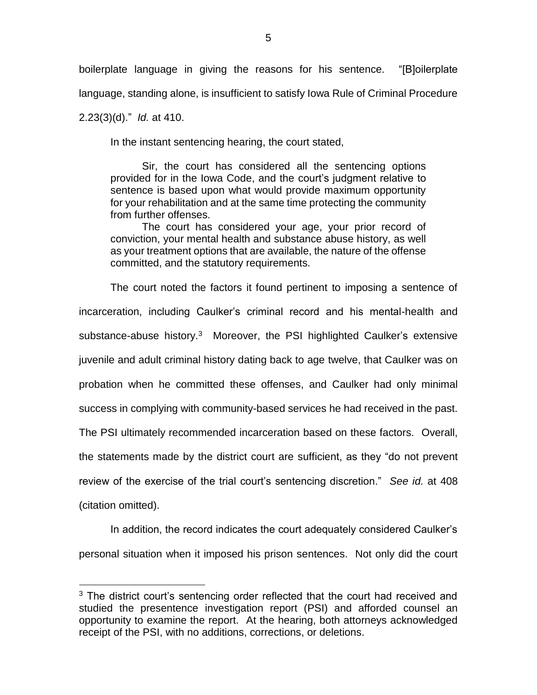boilerplate language in giving the reasons for his sentence. "[B]oilerplate language, standing alone, is insufficient to satisfy Iowa Rule of Criminal Procedure

2.23(3)(d)." *Id.* at 410.

 $\overline{a}$ 

In the instant sentencing hearing, the court stated,

Sir, the court has considered all the sentencing options provided for in the Iowa Code, and the court's judgment relative to sentence is based upon what would provide maximum opportunity for your rehabilitation and at the same time protecting the community from further offenses.

The court has considered your age, your prior record of conviction, your mental health and substance abuse history, as well as your treatment options that are available, the nature of the offense committed, and the statutory requirements.

The court noted the factors it found pertinent to imposing a sentence of incarceration, including Caulker's criminal record and his mental-health and substance-abuse history.<sup>3</sup> Moreover, the PSI highlighted Caulker's extensive juvenile and adult criminal history dating back to age twelve, that Caulker was on probation when he committed these offenses, and Caulker had only minimal success in complying with community-based services he had received in the past. The PSI ultimately recommended incarceration based on these factors. Overall, the statements made by the district court are sufficient, as they "do not prevent review of the exercise of the trial court's sentencing discretion." *See id.* at 408 (citation omitted).

In addition, the record indicates the court adequately considered Caulker's personal situation when it imposed his prison sentences. Not only did the court

 $3$  The district court's sentencing order reflected that the court had received and studied the presentence investigation report (PSI) and afforded counsel an opportunity to examine the report. At the hearing, both attorneys acknowledged receipt of the PSI, with no additions, corrections, or deletions.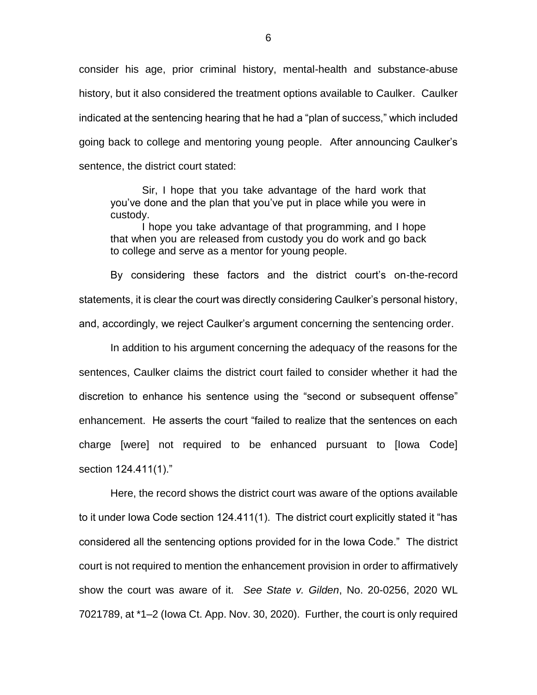consider his age, prior criminal history, mental-health and substance-abuse history, but it also considered the treatment options available to Caulker. Caulker indicated at the sentencing hearing that he had a "plan of success," which included going back to college and mentoring young people. After announcing Caulker's sentence, the district court stated:

Sir, I hope that you take advantage of the hard work that you've done and the plan that you've put in place while you were in custody.

I hope you take advantage of that programming, and I hope that when you are released from custody you do work and go back to college and serve as a mentor for young people.

By considering these factors and the district court's on-the-record statements, it is clear the court was directly considering Caulker's personal history, and, accordingly, we reject Caulker's argument concerning the sentencing order.

In addition to his argument concerning the adequacy of the reasons for the sentences, Caulker claims the district court failed to consider whether it had the discretion to enhance his sentence using the "second or subsequent offense" enhancement. He asserts the court "failed to realize that the sentences on each charge [were] not required to be enhanced pursuant to [Iowa Code] section 124.411(1)."

Here, the record shows the district court was aware of the options available to it under Iowa Code section 124.411(1). The district court explicitly stated it "has considered all the sentencing options provided for in the Iowa Code." The district court is not required to mention the enhancement provision in order to affirmatively show the court was aware of it. *See State v. Gilden*, No. 20-0256, 2020 WL 7021789, at \*1–2 (Iowa Ct. App. Nov. 30, 2020). Further, the court is only required